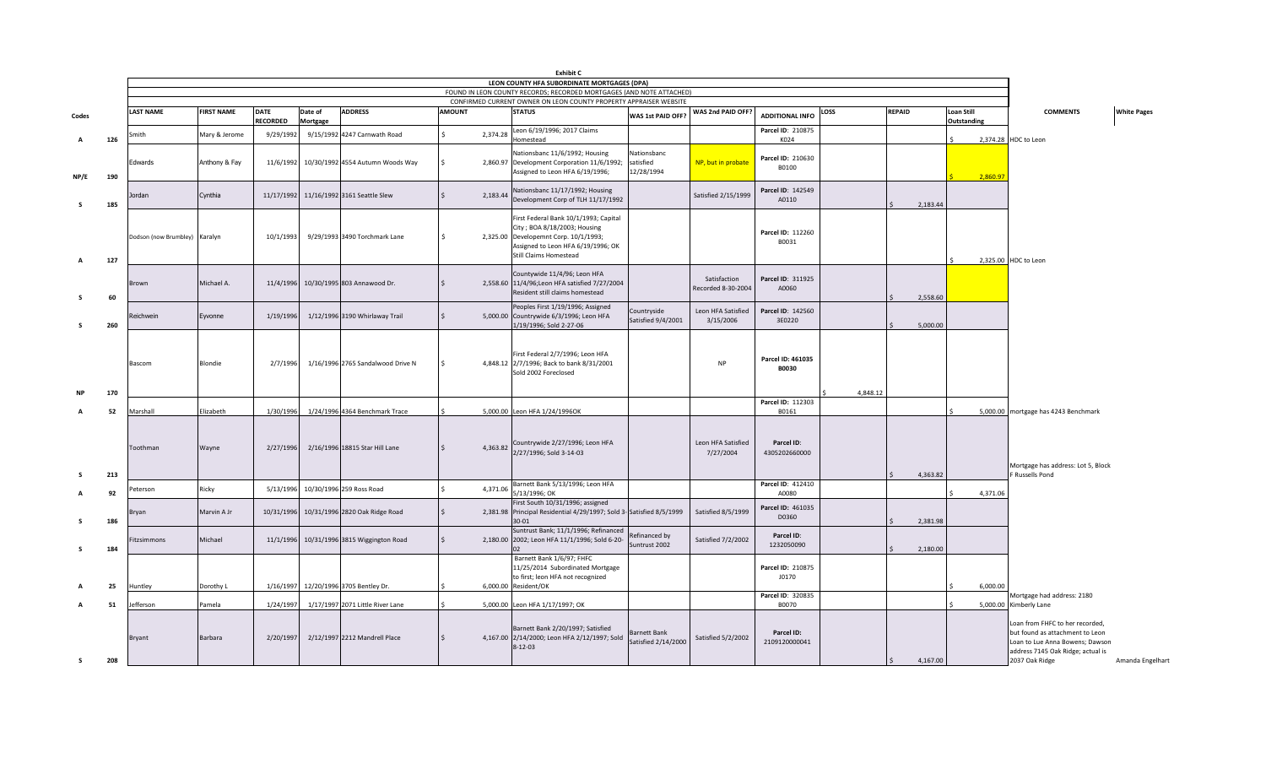|              |     |                               |                   |                                |                     |                                            |               |          | <b>Exhibit C</b>                                                                                                                                                                       |                                        |                                    |                                   |          |               |                           |                                                                                                                                                                                  |
|--------------|-----|-------------------------------|-------------------|--------------------------------|---------------------|--------------------------------------------|---------------|----------|----------------------------------------------------------------------------------------------------------------------------------------------------------------------------------------|----------------------------------------|------------------------------------|-----------------------------------|----------|---------------|---------------------------|----------------------------------------------------------------------------------------------------------------------------------------------------------------------------------|
|              |     |                               |                   |                                |                     |                                            |               |          | LEON COUNTY HFA SUBORDINATE MORTGAGES (DPA)                                                                                                                                            |                                        |                                    |                                   |          |               |                           |                                                                                                                                                                                  |
|              |     |                               |                   |                                |                     |                                            |               |          | FOUND IN LEON COUNTY RECORDS; RECORDED MORTGAGES (AND NOTE ATTACHED)                                                                                                                   |                                        |                                    |                                   |          |               |                           |                                                                                                                                                                                  |
|              |     |                               |                   |                                |                     |                                            |               |          | CONFIRMED CURRENT OWNER ON LEON COUNTY PROPERTY APPRAISER WEBSITE                                                                                                                      |                                        |                                    |                                   |          |               |                           |                                                                                                                                                                                  |
| Codes        |     | <b>LAST NAME</b>              | <b>FIRST NAME</b> | <b>DATE</b><br><b>RECORDED</b> | Date of<br>Mortgage | <b>ADDRESS</b>                             | <b>AMOUNT</b> |          | <b>STATUS</b>                                                                                                                                                                          | WAS 1st PAID OFF?                      | WAS 2nd PAID OFF?                  | <b>ADDITIONAL INFO</b>            | LOSS     | <b>REPAID</b> | Loan Still<br>Outstanding | <b>COMMENTS</b><br><b>White Pages</b>                                                                                                                                            |
|              | 126 | Smith                         | Mary & Jerome     | 9/29/1992                      |                     | 9/15/1992 4247 Carnwath Road               |               | 2,374.28 | Leon 6/19/1996; 2017 Claims<br><b>Homestead</b>                                                                                                                                        |                                        |                                    | Parcel ID: 210875<br>K024         |          |               |                           | 2,374.28 HDC to Leon                                                                                                                                                             |
| NP/E         | 190 | Edwards                       | Anthony & Fay     |                                |                     | 11/6/1992 10/30/1992 4554 Autumn Woods Way |               |          | Nationsbanc 11/6/1992; Housing<br>2,860.97 Development Corporation 11/6/1992;<br>Assigned to Leon HFA 6/19/1996;                                                                       | Nationsbanc<br>satisfied<br>12/28/1994 | NP, but in probate                 | Parcel ID: 210630<br>B0100        |          |               | 2,860.97                  |                                                                                                                                                                                  |
| s.           | 185 | lordan                        | Cynthia           |                                |                     | 11/17/1992 11/16/1992 3161 Seattle Slew    |               | 2,183.44 | Nationsbanc 11/17/1992; Housing<br>Development Corp of TLH 11/17/1992                                                                                                                  |                                        | Satisfied 2/15/1999                | Parcel ID: 142549<br>A0110        |          | 2,183.44      |                           |                                                                                                                                                                                  |
| $\mathsf{A}$ | 127 | Dodson (now Brumbley) Karalyn |                   | 10/1/1993                      |                     | 9/29/1993 3490 Torchmark Lane              |               |          | First Federal Bank 10/1/1993; Capital<br>City ; BOA 8/18/2003; Housing<br>2,325.00 Developemnt Corp. 10/1/1993;<br>Assigned to Leon HFA 6/19/1996; OK<br><b>Still Claims Homestead</b> |                                        |                                    | Parcel ID: 112260<br>B0031        |          |               |                           | 2,325.00 HDC to Leon                                                                                                                                                             |
| - S          | 60  | rown                          | Michael A.        | 11/4/1996                      |                     | 10/30/1995 803 Annawood Dr.                |               |          | Countywide 11/4/96; Leon HFA<br>2,558.60 11/4/96; Leon HFA satisfied 7/27/2004<br>Resident still claims homestead                                                                      |                                        | Satisfaction<br>Recorded 8-30-2004 | Parcel ID: 311925<br>A0060        |          | 2,558.60      |                           |                                                                                                                                                                                  |
|              | 260 | Reichwein                     | Eyvonne           | 1/19/1996                      |                     | 1/12/1996 3190 Whirlaway Trail             |               |          | Peoples First 1/19/1996; Assigned<br>5,000.00 Countrywide 6/3/1996; Leon HFA<br>1/19/1996; Sold 2-27-06                                                                                | Countryside<br>Satisfied 9/4/2001      | Leon HFA Satisfied<br>3/15/2006    | Parcel ID: 142560<br>3E0220       |          | 5,000.00      |                           |                                                                                                                                                                                  |
|              | 170 | Bascom                        | Blondie           | 2/7/1996                       |                     | 1/16/1996 2765 Sandalwood Drive N          |               |          | First Federal 2/7/1996; Leon HFA<br>4,848.12 2/7/1996; Back to bank 8/31/2001<br>Sold 2002 Foreclosed                                                                                  |                                        | <b>NP</b>                          | Parcel ID: 461035<br><b>B0030</b> | 4,848.12 |               |                           |                                                                                                                                                                                  |
|              |     |                               |                   |                                |                     |                                            |               |          |                                                                                                                                                                                        |                                        |                                    | Parcel ID: 112303                 |          |               |                           |                                                                                                                                                                                  |
|              | 52  | Marshall                      | Elizabeth         | 1/30/1996                      |                     | 1/24/1996 4364 Benchmark Trace             |               |          | 5,000.00 Leon HFA 1/24/1996OK                                                                                                                                                          |                                        |                                    | B0161                             |          |               |                           | 5,000.00 mortgage has 4243 Benchmark                                                                                                                                             |
|              |     | Toothman                      | Wayne             | 2/27/1996                      |                     | 2/16/1996 18815 Star Hill Lane             |               | 4,363.82 | Countrywide 2/27/1996; Leon HFA<br>2/27/1996; Sold 3-14-03                                                                                                                             |                                        | Leon HFA Satisfied<br>7/27/2004    | Parcel ID:<br>4305202660000       |          |               |                           | Mortgage has address: Lot 5, Block                                                                                                                                               |
|              | 213 |                               |                   |                                |                     |                                            |               |          |                                                                                                                                                                                        |                                        |                                    |                                   |          | 4,363.82      |                           | F Russells Pond                                                                                                                                                                  |
|              | 92  | 'eterson                      | Ricky             | 5/13/1996                      |                     | 10/30/1996 259 Ross Road                   |               | 4,371.06 | Barnett Bank 5/13/1996; Leon HFA<br>5/13/1996; OK                                                                                                                                      |                                        |                                    | Parcel ID: 412410<br>A0080        |          |               | 4.371.06                  |                                                                                                                                                                                  |
| S.           | 186 | Iryan                         | Marvin A Jr       |                                |                     | 10/31/1996 10/31/1996 2820 Oak Ridge Road  |               |          | First South 10/31/1996; assigned<br>2,381.98 Principal Residential 4/29/1997; Sold 3-Satisfied 8/5/1999<br>30-01                                                                       |                                        | Satisfied 8/5/1999                 | Parcel ID: 461035<br>D0360        |          | 2,381.98      |                           |                                                                                                                                                                                  |
| s            | 184 | itzsimmons                    | Michael           |                                |                     | 11/1/1996 10/31/1996 3815 Wiggington Road  |               |          | Suntrust Bank; 11/1/1996; Refinanced<br>2,180.00 2002; Leon HFA 11/1/1996; Sold 6-20-                                                                                                  | Refinanced by<br>Suntrust 2002         | Satisfied 7/2/2002                 | Parcel ID:<br>1232050090          |          | 2,180.00      |                           |                                                                                                                                                                                  |
|              | 25  | Huntley                       | Dorothy L         | 1/16/1997                      |                     | 12/20/1996 3705 Bentley Dr.                |               |          | Barnett Bank 1/6/97; FHFC<br>11/25/2014 Subordinated Mortgage<br>to first; leon HFA not recognized<br>6,000.00 Resident/OK                                                             |                                        |                                    | Parcel ID: 210875<br>J0170        |          |               | 6,000.00                  |                                                                                                                                                                                  |
|              | 51  | efferson                      | Pamela            | 1/24/1997                      |                     | 1/17/1997 2071 Little River Lane           |               |          | 5,000.00 Leon HFA 1/17/1997; OK                                                                                                                                                        |                                        |                                    | Parcel ID: 320835<br>B0070        |          |               |                           | Mortgage had address: 2180<br>5,000.00 Kimberly Lane                                                                                                                             |
| s.           | 208 | Bryant                        | Barbara           | 2/20/1997                      |                     | 2/12/1997 2212 Mandrell Place              |               |          | Barnett Bank 2/20/1997; Satisfied<br>4,167.00 2/14/2000; Leon HFA 2/12/1997; Sold<br>$8-12-03$                                                                                         | Barnett Bank<br>Satisfied 2/14/2000    | <b>Satisfied 5/2/2002</b>          | Parcel ID:<br>2109120000041       |          | 4,167.00      |                           | Loan from FHFC to her recorded,<br>but found as attachment to Leon<br>Loan to Lue Anna Bowens; Dawson<br>address 7145 Oak Ridge; actual is<br>2037 Oak Ridge<br>Amanda Engelhart |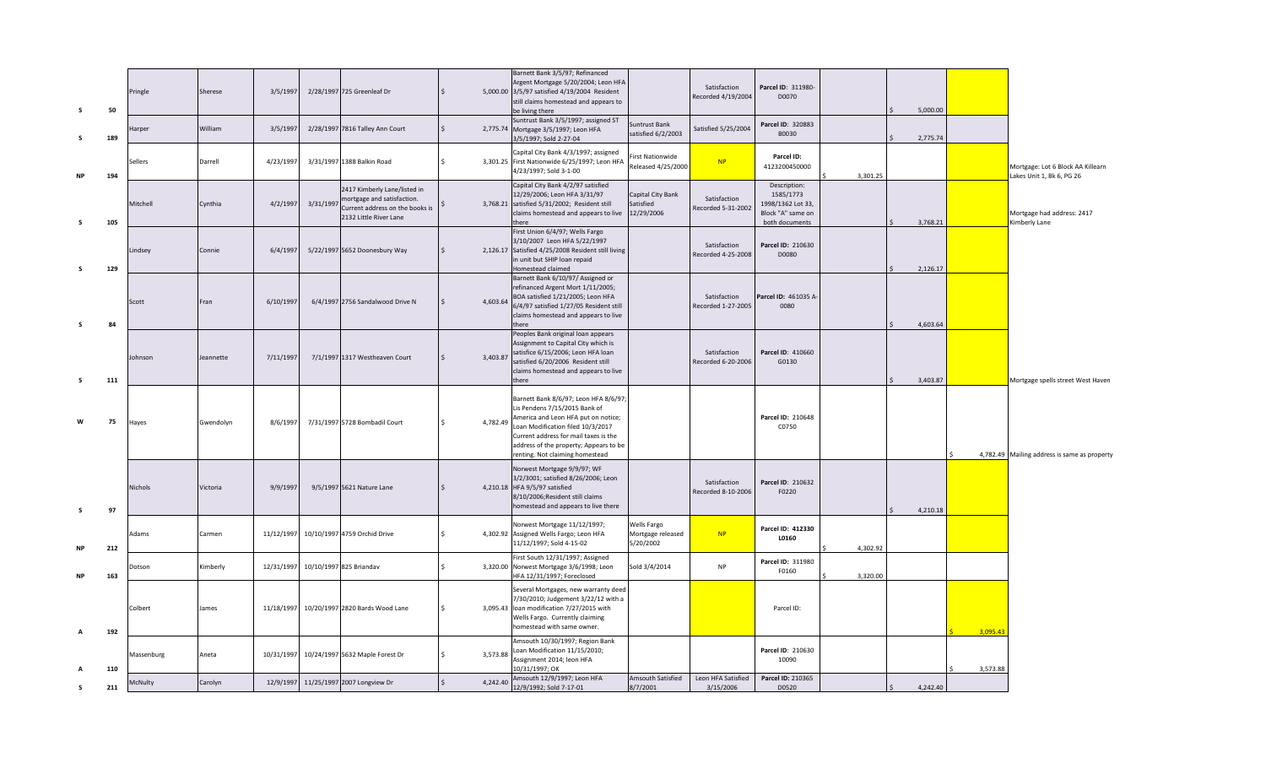| s         | 50  | Pringle    | Sherese   | 3/5/1997   |           | 2/28/1997 725 Greenleaf Dr                                                                                              | $\zeta$      |          | Barnett Bank 3/5/97; Refinanced<br>Argent Mortgage 5/20/2004; Leon HFA<br>5,000.00 3/5/97 satisfied 4/19/2004 Resident<br>still claims homestead and appears to<br>be living there                                                                                       |                                               | Satisfaction<br>Recorded 4/19/2004 | Parcel ID: 311980-<br>D0070                                                           |          | 5.000.00 |          |                                                                |
|-----------|-----|------------|-----------|------------|-----------|-------------------------------------------------------------------------------------------------------------------------|--------------|----------|--------------------------------------------------------------------------------------------------------------------------------------------------------------------------------------------------------------------------------------------------------------------------|-----------------------------------------------|------------------------------------|---------------------------------------------------------------------------------------|----------|----------|----------|----------------------------------------------------------------|
| -S        | 189 | Harper     | William   | 3/5/1997   |           | 2/28/1997 7816 Talley Ann Court                                                                                         | $\mathsf{S}$ |          | Suntrust Bank 3/5/1997; assigned ST<br>2,775.74 Mortgage 3/5/1997; Leon HFA<br>3/5/1997; Sold 2-27-04                                                                                                                                                                    | Suntrust Bank<br>satisfied 6/2/2003           | Satisfied 5/25/2004                | Parcel ID: 320883<br>B0030                                                            |          | 2,775.74 |          |                                                                |
| <b>NP</b> | 194 | Sellers    | Darrell   | 4/23/1997  |           | 3/31/1997 1388 Balkin Road                                                                                              | $\mathsf{S}$ |          | Capital City Bank 4/3/1997; assigned<br>3,301.25 First Nationwide 6/25/1997; Leon HFA<br>4/23/1997; Sold 3-1-00                                                                                                                                                          | irst Nationwide<br>Released 4/25/2000         | NP                                 | Parcel ID:<br>4123200450000                                                           | 3,301.25 |          |          | Mortgage: Lot 6 Block AA Killearn<br>Lakes Unit 1, Bk 6, PG 26 |
| s         | 105 | Mitchell   | Cynthia   | 4/2/199    | 3/31/1997 | 2417 Kimberly Lane/listed in<br>mortgage and satisfaction.<br>Current address on the books is<br>2132 Little River Lane |              | 3,768.21 | Capital City Bank 4/2/97 satisfied<br>12/29/2006; Leon HFA 3/31/97<br>satisfied 5/31/2002; Resident still<br>claims homestead and appears to live<br>there                                                                                                               | Capital City Bank<br>Satisfied<br>12/29/2006  | Satisfaction<br>Recorded 5-31-2002 | Description:<br>1585/1773<br>1998/1362 Lot 33,<br>Block "A" same on<br>both documents |          | 3,768.21 |          | Mortgage had address: 2417<br>Kimberly Lane                    |
| s         | 129 | Lindsey    | Connie    | 6/4/1997   |           | 5/22/1997 5652 Doonesbury Way                                                                                           |              | 2,126.17 | First Union 6/4/97; Wells Fargo<br>3/10/2007 Leon HFA 5/22/1997<br>Satisfied 4/25/2008 Resident still living<br>in unit but SHIP loan repaid<br>Homestead claimed                                                                                                        |                                               | Satisfaction<br>Recorded 4-25-2008 | Parcel ID: 210630<br>D0080                                                            |          | 2,126.17 |          |                                                                |
| s.        | 84  | Scott      | Fran      | 6/10/1997  |           | 6/4/1997 2756 Sandalwood Drive N                                                                                        |              | 4,603.64 | Barnett Bank 6/10/97/ Assigned or<br>refinanced Argent Mort 1/11/2005;<br>BOA satisfied 1/21/2005; Leon HFA<br>6/4/97 satisfied 1/27/05 Resident still<br>claims homestead and appears to live<br>here                                                                   |                                               | Satisfaction<br>Recorded 1-27-2005 | Parcel ID: 461035 A<br>0080                                                           |          | 4.603.64 |          |                                                                |
| s         | 111 | Johnson    | Jeannette | 7/11/1997  |           | 7/1/1997 1317 Westheaven Court                                                                                          |              | 3,403.87 | Peoples Bank original loan appears<br>Assignment to Capital City which is<br>satisfice 6/15/2006; Leon HFA loan<br>satisfied 6/20/2006 Resident still<br>claims homestead and appears to live<br>there                                                                   |                                               | Satisfaction<br>Recorded 6-20-2006 | Parcel ID: 410660<br>G0130                                                            |          | 3,403.87 |          | Mortgage spells street West Haven                              |
| W         | 75  | Hayes      | Gwendolyn | 8/6/1997   |           | 7/31/1997 5728 Bombadil Court                                                                                           | $\mathsf{S}$ | 4,782.49 | Barnett Bank 8/6/97; Leon HFA 8/6/97;<br>Lis Pendens 7/15/2015 Bank of<br>America and Leon HFA put on notice;<br>Loan Modification filed 10/3/2017<br>Current address for mail taxes is the<br>address of the property; Appears to be<br>renting. Not claiming homestead |                                               |                                    | Parcel ID: 210648<br>C0750                                                            |          |          |          | 4,782.49 Mailing address is same as property                   |
| s         | 97  | Nichols    | Victoria  | 9/9/1997   |           | 9/5/1997 5621 Nature Lane                                                                                               |              |          | Norwest Mortgage 9/9/97; WF<br>3/2/3001; satisfied 8/26/2006; Leon<br>4,210.18 HFA 9/5/97 satisfied<br>8/10/2006; Resident still claims<br>homestead and appears to live there                                                                                           |                                               | Satisfaction<br>Recorded 8-10-2006 | Parcel ID: 210632<br>F0220                                                            |          | 4,210.18 |          |                                                                |
| <b>NP</b> | 212 | Adams      | Carmen    | 11/12/1997 |           | 10/10/1997 4759 Orchid Drive                                                                                            | $\leq$       |          | Norwest Mortgage 11/12/1997;<br>4,302.92 Assigned Wells Fargo; Leon HFA<br>11/12/1997; Sold 4-15-02                                                                                                                                                                      | Wells Fargo<br>Mortgage released<br>5/20/2002 | <b>NP</b>                          | Parcel ID: 412330<br>L0160                                                            | 4.302.92 |          |          |                                                                |
| <b>NP</b> | 163 | Dotson     | Kimberly  | 12/31/1997 |           | 10/10/1997 825 Briandav                                                                                                 | $\mathsf{S}$ |          | First South 12/31/1997; Assigned<br>3,320.00 Norwest Mortgage 3/6/1998; Leon<br>HFA 12/31/1997; Foreclosed                                                                                                                                                               | Sold 3/4/2014                                 | <b>NP</b>                          | Parcel ID: 311980<br>F0160                                                            | 3,320.00 |          |          |                                                                |
| A         | 192 | Colbert    | James     | 11/18/1997 |           | 10/20/1997 2820 Bards Wood Lane                                                                                         | Ś.           | 3,095.43 | Several Mortgages, new warranty deed<br>7/30/2010; Judgement 3/22/12 with a<br>loan modification 7/27/2015 with<br>Wells Fargo. Currently claiming<br>homestead with same owner.                                                                                         |                                               |                                    | Parcel ID:                                                                            |          |          | 3,095.43 |                                                                |
|           | 110 | Massenburg | Aneta     | 10/31/1997 |           | 10/24/1997 5632 Maple Forest Dr                                                                                         | $\mathsf{S}$ | 3,573.88 | Amsouth 10/30/1997; Region Bank<br>Loan Modification 11/15/2010;<br>Assignment 2014; leon HFA<br>10/31/1997: OK                                                                                                                                                          |                                               |                                    | Parcel ID: 210630<br>10090                                                            |          |          | 3,573.88 |                                                                |
|           | 211 | McNulty    | Carolyn   | 12/9/1997  |           | 11/25/1997 2007 Longview Dr                                                                                             | $\mathsf{S}$ | 4,242.40 | Amsouth 12/9/1997; Leon HFA<br>12/9/1992; Sold 7-17-01                                                                                                                                                                                                                   | Amsouth Satisfied<br>8/7/2001                 | Leon HFA Satisfied<br>3/15/2006    | Parcel ID: 210365<br>D0520                                                            |          | 4,242.40 |          |                                                                |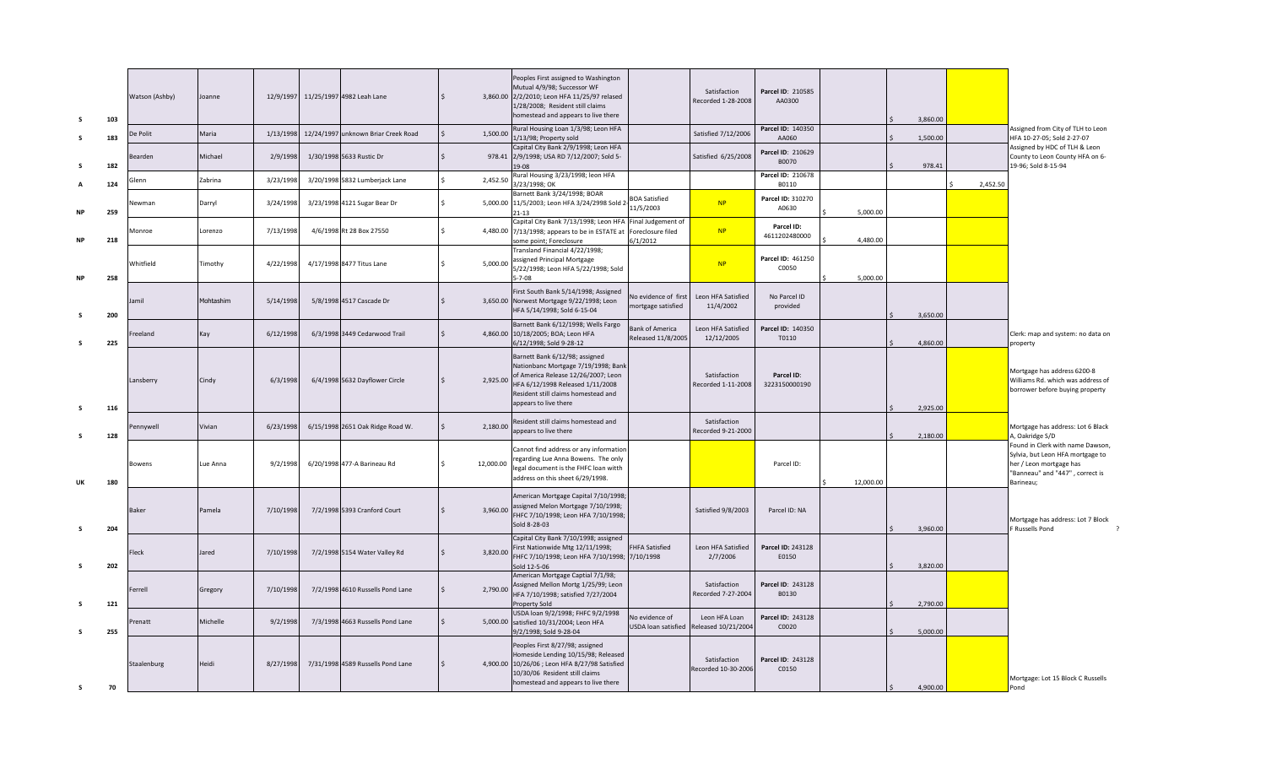| s         | 103 | Watson (Ashby) | Joanne    |           | 12/9/1997 11/25/1997 4982 Leah Lane | $\mathsf{S}$       |           | Peoples First assigned to Washington<br>Mutual 4/9/98; Successor WF<br>3,860.00 2/2/2010; Leon HFA 11/25/97 relased<br>1/28/2008; Resident still claims<br>homestead and appears to live there                   |                                                     | Satisfaction<br>Recorded 1-28-2008   | Parcel ID: 210585<br>AA0300 |           | 3,860.00 |          |                                                                                                                                                 |
|-----------|-----|----------------|-----------|-----------|-------------------------------------|--------------------|-----------|------------------------------------------------------------------------------------------------------------------------------------------------------------------------------------------------------------------|-----------------------------------------------------|--------------------------------------|-----------------------------|-----------|----------|----------|-------------------------------------------------------------------------------------------------------------------------------------------------|
| -S        | 183 | De Polit       | Maria     | 1/13/1998 | 12/24/1997 unknown Briar Creek Road | $\mathsf{S}$       | 1,500.00  | Rural Housing Loan 1/3/98; Leon HFA<br>1/13/98; Property sold                                                                                                                                                    |                                                     | Satisfied 7/12/2006                  | Parcel ID: 140350<br>AA060  |           | 1,500.00 |          | Assigned from City of TLH to Leon<br>HFA 10-27-05; Sold 2-27-07                                                                                 |
| s         | 182 | Bearden        | Michael   | 2/9/1998  | 1/30/1998 5633 Rustic Dr            | $\zeta$            |           | Capital City Bank 2/9/1998; Leon HFA<br>978.41 2/9/1998; USA RD 7/12/2007; Sold 5-<br>19-08                                                                                                                      |                                                     | Satisfied 6/25/2008                  | Parcel ID: 210629<br>B0070  |           | 978.41   |          | Assigned by HDC of TLH & Leon<br>County to Leon County HFA on 6-<br>19-96; Sold 8-15-94                                                         |
|           | 124 | Glenn          | Zabrina   | 3/23/1998 | 3/20/1998 5832 Lumberjack Lane      | $\mathsf{S}$       | 2,452.50  | Rural Housing 3/23/1998; leon HFA<br>3/23/1998; OK                                                                                                                                                               |                                                     |                                      | Parcel ID: 210678<br>B0110  |           |          | 2,452.50 |                                                                                                                                                 |
| <b>NP</b> | 259 | Vewman         | Darryl    | 3/24/1998 | 3/23/1998 4121 Sugar Bear Dr        | $\mathsf{S}$       |           | Barnett Bank 3/24/1998; BOAR<br>5,000.00 11/5/2003; Leon HFA 3/24/2998 Sold 2<br>$21 - 13$                                                                                                                       | <b>BOA Satisfied</b><br>11/5/2003                   | NP                                   | Parcel ID: 310270<br>A0630  | 5,000.00  |          |          |                                                                                                                                                 |
| <b>NP</b> | 218 | Monroe         | Lorenzo   | 7/13/1998 | 4/6/1998 Rt 28 Box 27550            | $\mathsf{S}$       |           | Capital City Bank 7/13/1998; Leon HFA<br>4,480.00 7/13/1998; appears to be in ESTATE at<br>some point; Foreclosure                                                                                               | Final Judgement of<br>Foreclosure filed<br>6/1/2012 | NP                                   | Parcel ID:<br>4611202480000 | 4,480.00  |          |          |                                                                                                                                                 |
| <b>NP</b> | 258 | Whitfield      | Timothy   | 4/22/1998 | 4/17/1998 8477 Titus Lane           | $\mathsf{S}$       | 5,000.00  | Transland Financial 4/22/1998;<br>assigned Principal Mortgage<br>5/22/1998; Leon HFA 5/22/1998; Sold<br>$5 - 7 - 08$                                                                                             |                                                     | NP                                   | Parcel ID: 461250<br>C0050  | 5.000.00  |          |          |                                                                                                                                                 |
| -S        | 200 | amil           | Mohtashim | 5/14/1998 | 5/8/1998 4517 Cascade Dr            | $\mathsf{\hat{S}}$ |           | First South Bank 5/14/1998; Assigned<br>3,650.00 Norwest Mortgage 9/22/1998; Leon<br>HFA 5/14/1998; Sold 6-15-04                                                                                                 | <b>No evidence of first</b><br>nortgage satisfied   | Leon HFA Satisfied<br>11/4/2002      | No Parcel ID<br>provided    |           | 3,650.00 |          |                                                                                                                                                 |
| -S        | 225 | reeland        | Kay       | 6/12/1998 | 6/3/1998 3449 Cedarwood Trail       | $\mathsf{S}$       |           | Barnett Bank 6/12/1998; Wells Fargo<br>4,860.00 10/18/2005; BOA; Leon HFA<br>6/12/1998; Sold 9-28-12                                                                                                             | <b>Bank of America</b><br>Released 11/8/2005        | Leon HFA Satisfied<br>12/12/2005     | Parcel ID: 140350<br>T0110  |           | 4,860.00 |          | Clerk: map and system: no data on<br>property                                                                                                   |
| s         | 116 | Lansberry      | Cindy     | 6/3/1998  | 6/4/1998 5632 Dayflower Circle      | Ŝ.                 | 2,925.00  | Barnett Bank 6/12/98; assigned<br>Nationbanc Mortgage 7/19/1998; Bank<br>of America Release 12/26/2007; Leon<br>HFA 6/12/1998 Released 1/11/2008<br>Resident still claims homestead and<br>appears to live there |                                                     | Satisfaction<br>Recorded 1-11-2008   | Parcel ID:<br>3223150000190 |           | 2,925.00 |          | Mortgage has address 6200-8<br>Williams Rd. which was address of<br>borrower before buying property                                             |
| s         | 128 | Pennywell      | Vivian    | 6/23/1998 | 6/15/1998 2651 Oak Ridge Road W.    | Ŝ.                 | 2,180.00  | Resident still claims homestead and<br>appears to live there                                                                                                                                                     |                                                     | Satisfaction<br>Recorded 9-21-2000   |                             |           | 2,180.00 |          | Mortgage has address: Lot 6 Black<br>A, Oakridge S/D                                                                                            |
| UK        | 180 | Bowens         | Lue Anna  | 9/2/1998  | 6/20/1998 477-A Barineau Rd         | Ś                  | 12,000.00 | Cannot find address or any information<br>regarding Lue Anna Bowens. The only<br>legal document is the FHFC loan witth<br>address on this sheet 6/29/1998.                                                       |                                                     |                                      | Parcel ID:                  | 12,000.00 |          |          | Found in Clerk with name Dawson,<br>Sylvia, but Leon HFA mortgage to<br>her / Leon mortgage has<br>"Banneau" and "447", correct is<br>Barineau; |
| s         | 204 | Baker          | Pamela    | 7/10/1998 | 7/2/1998 5393 Cranford Court        | Ś                  | 3,960.00  | American Mortgage Capital 7/10/1998;<br>assigned Melon Mortgage 7/10/1998;<br>FHFC 7/10/1998; Leon HFA 7/10/1998;<br>Sold 8-28-03                                                                                |                                                     | Satisfied 9/8/2003                   | Parcel ID: NA               |           | 3,960.00 |          | Mortgage has address: Lot 7 Block<br>F Russells Pond                                                                                            |
| s         | 202 | <b>leck</b>    | Jared     | 7/10/1998 | 7/2/1998 5154 Water Valley Rd       |                    | 3,820.00  | Capital City Bank 7/10/1998; assigned<br>First Nationwide Mtg 12/11/1998;<br>FHFC 7/10/1998; Leon HFA 7/10/1998; 7/10/1998<br>Sold 12-5-06                                                                       | <b>FHFA Satisfied</b>                               | Leon HFA Satisfied<br>2/7/2006       | Parcel ID: 243128<br>E0150  |           | 3,820.00 |          |                                                                                                                                                 |
| s         | 121 | Ferrell        | Gregory   | 7/10/1998 | 7/2/1998 4610 Russells Pond Lane    |                    | 2,790.00  | American Mortgage Captial 7/1/98;<br>Assigned Mellon Mortg 1/25/99; Leon<br>HFA 7/10/1998; satisfied 7/27/2004<br>Property Sold                                                                                  |                                                     | Satisfaction<br>Recorded 7-27-2004   | Parcel ID: 243128<br>B0130  |           | 2,790.00 |          |                                                                                                                                                 |
| s         | 255 | Prenatt        | Michelle  | 9/2/1998  | 7/3/1998 4663 Russells Pond Lane    | \$                 |           | USDA loan 9/2/1998; FHFC 9/2/1998<br>5,000.00 satisfied 10/31/2004; Leon HFA<br>9/2/1998; Sold 9-28-04                                                                                                           | lo evidence of<br>USDA loan satisfied               | Leon HFA Loan<br>Released 10/21/2004 | Parcel ID: 243128<br>C0020  |           | 5,000.00 |          |                                                                                                                                                 |
| s         | 70  | Staalenburg    | Heidi     | 8/27/1998 | 7/31/1998 4589 Russells Pond Lane   | Ŝ.                 |           | Peoples First 8/27/98; assigned<br>Homeside Lending 10/15/98; Released<br>4,900.00 10/26/06 ; Leon HFA 8/27/98 Satisfied<br>10/30/06 Resident still claims<br>homestead and appears to live there                |                                                     | Satisfaction<br>Recorded 10-30-2006  | Parcel ID: 243128<br>C0150  |           | 4,900.00 |          | Mortgage: Lot 15 Block C Russells<br>Pond                                                                                                       |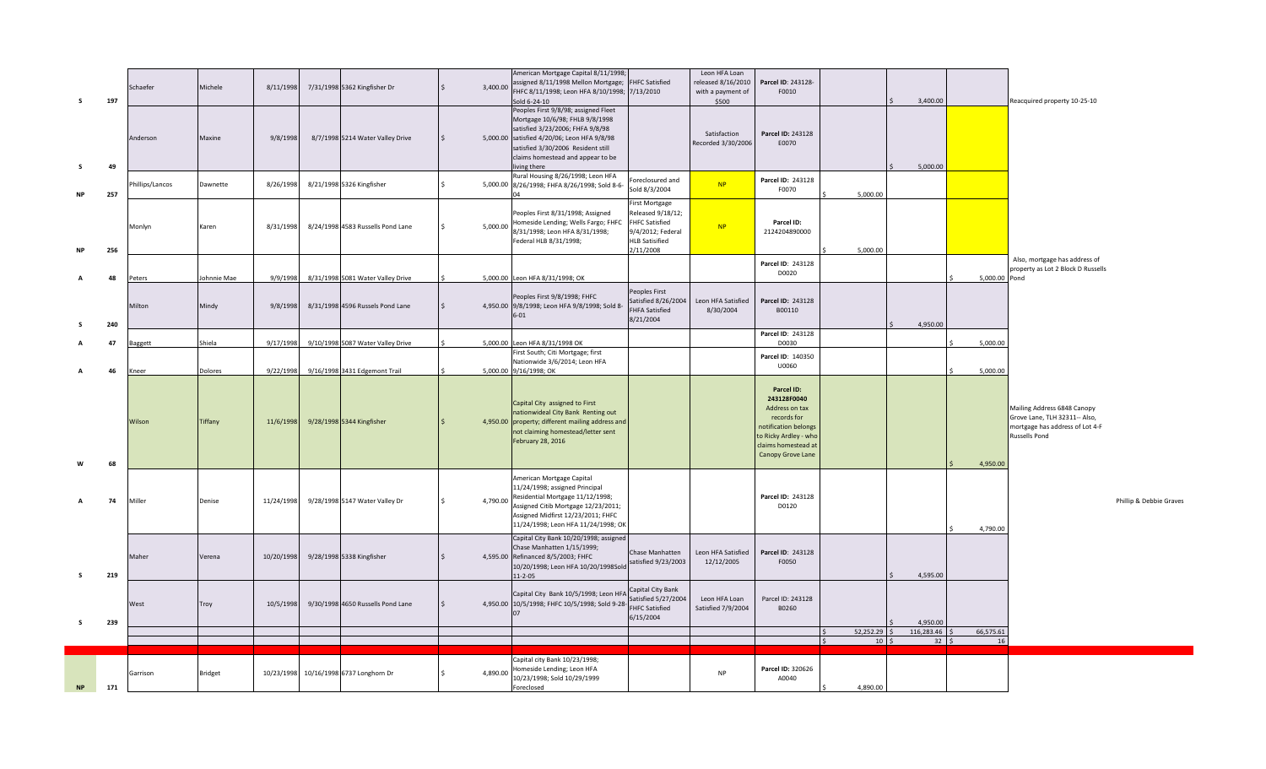| s         | 197 | Schaefer       | Michele        | 8/11/1998  | 7/31/1998 5362 Kingfisher Dr           |     | 3,400.00 | American Mortgage Capital 8/11/1998;<br>assigned 8/11/1998 Mellon Mortgage;<br>FHFC 8/11/1998; Leon HFA 8/10/1998; 7/13/2010<br>Sold 6-24-10                                                                                                          | <b>FHFC Satisfied</b>                                                                                                   | Leon HFA Loan<br>released 8/16/2010<br>with a payment of<br>\$500 | Parcel ID: 243128-<br>F0010                                                                                                                             |                                 | 3,400.00               |               | Reacquired property 10-25-10                                                                                     |
|-----------|-----|----------------|----------------|------------|----------------------------------------|-----|----------|-------------------------------------------------------------------------------------------------------------------------------------------------------------------------------------------------------------------------------------------------------|-------------------------------------------------------------------------------------------------------------------------|-------------------------------------------------------------------|---------------------------------------------------------------------------------------------------------------------------------------------------------|---------------------------------|------------------------|---------------|------------------------------------------------------------------------------------------------------------------|
|           | 49  | Anderson       | Maxine         | 9/8/1998   | 8/7/1998 5214 Water Valley Drive       | l S |          | Peoples First 9/8/98; assigned Fleet<br>Mortgage 10/6/98; FHLB 9/8/1998<br>satisfied 3/23/2006; FHFA 9/8/98<br>5,000.00 satisfied 4/20/06; Leon HFA 9/8/98<br>satisfied 3/30/2006 Resident still<br>claims homestead and appear to be<br>living there |                                                                                                                         | Satisfaction<br>Recorded 3/30/2006                                | Parcel ID: 243128<br>E0070                                                                                                                              |                                 | 5,000.00               |               |                                                                                                                  |
| <b>NP</b> | 257 | hillips/Lancos | Dawnette       | 8/26/1998  | 8/21/1998 5326 Kingfisher              | Ŝ.  |          | Rural Housing 8/26/1998; Leon HFA<br>5,000.00 8/26/1998; FHFA 8/26/1998; Sold 8-6-                                                                                                                                                                    | oreclosured and<br>Sold 8/3/2004                                                                                        | NP                                                                | Parcel ID: 243128<br>F0070                                                                                                                              | 5,000.00                        |                        |               |                                                                                                                  |
|           | 256 | Monlyn         | Karen          | 8/31/1998  | 8/24/1998 4583 Russells Pond Lane      | -Ś  | 5,000.00 | Peoples First 8/31/1998; Assigned<br>Homeside Lending; Wells Fargo; FHFC<br>8/31/1998; Leon HFA 8/31/1998;<br>Federal HLB 8/31/1998;                                                                                                                  | First Mortgage<br>Released 9/18/12;<br><b>FHFC Satisfied</b><br>9/4/2012; Federal<br><b>HLB Satisified</b><br>2/11/2008 | NP                                                                | Parcel ID:<br>2124204890000                                                                                                                             | 5,000.00                        |                        |               |                                                                                                                  |
|           | 48  | Peters         | Johnnie Mae    | 9/9/1998   | 8/31/1998 5081 Water Valley Drive      |     |          | 5,000.00 Leon HFA 8/31/1998; OK                                                                                                                                                                                                                       |                                                                                                                         |                                                                   | Parcel ID: 243128<br>D0020                                                                                                                              |                                 |                        | 5,000.00 Pond | Also, mortgage has address of<br>property as Lot 2 Block D Russells                                              |
|           | 240 | Milton         | Mindy          | 9/8/1998   | 8/31/1998 4596 Russels Pond Lane       |     |          | Peoples First 9/8/1998; FHFC<br>4,950.00 9/8/1998; Leon HFA 9/8/1998; Sold 8-<br>$6 - 01$                                                                                                                                                             | eoples First<br>Satisfied 8/26/2004<br><b>FHFA Satisfied</b><br>8/21/2004                                               | Leon HFA Satisfied<br>8/30/2004                                   | Parcel ID: 243128<br>B00110                                                                                                                             |                                 | 4,950.00               |               |                                                                                                                  |
|           | 47  | Baggett        | Shiela         | 9/17/1998  | 9/10/1998 5087 Water Valley Drive      |     |          | 5,000.00 Leon HFA 8/31/1998 OK                                                                                                                                                                                                                        |                                                                                                                         |                                                                   | Parcel ID: 243128<br>D0030                                                                                                                              |                                 |                        | 5,000.00      |                                                                                                                  |
|           | 46  | Kneer          | Dolores        | 9/22/1998  | 9/16/1998 3431 Edgemont Trail          |     |          | First South; Citi Mortgage; first<br>Nationwide 3/6/2014; Leon HFA<br>5,000.00 9/16/1998; OK                                                                                                                                                          |                                                                                                                         |                                                                   | Parcel ID: 140350<br>U0060                                                                                                                              |                                 |                        | 5,000.00      |                                                                                                                  |
|           | 68  | Wilson         | Tiffany        | 11/6/1998  | 9/28/1998 5344 Kingfisher              |     |          | Capital City assigned to First<br>nationwideal City Bank Renting out<br>4,950.00 property; different mailing address and<br>not claiming homestead/letter sent<br>February 28, 2016                                                                   |                                                                                                                         |                                                                   | Parcel ID:<br>243128F0040<br>Address on tax<br>records for<br>notification belongs<br>to Ricky Ardley - who<br>claims homestead at<br>Canopy Grove Lane |                                 |                        | 4,950.00      | Mailing Address 6848 Canopy<br>Grove Lane, TLH 32311-- Also,<br>mortgage has address of Lot 4-F<br>Russells Pond |
|           | 74  | Miller         | Denise         | 11/24/1998 | 9/28/1998 5147 Water Valley Dr         |     |          | American Mortgage Capital<br>11/24/1998; assigned Principal<br>4,790.00 Residential Mortgage 11/12/1998;<br>Assigned Citib Mortgage 12/23/2011;<br>Assigned Midfirst 12/23/2011; FHFC<br>11/24/1998; Leon HFA 11/24/1998; OK                          |                                                                                                                         |                                                                   | Parcel ID: 243128<br>D0120                                                                                                                              |                                 |                        | 4,790.00      | Phillip & Debbie Graves                                                                                          |
| s.        | 219 | Maher          | Verena         | 10/20/1998 | 9/28/1998 5338 Kingfisher              |     |          | Capital City Bank 10/20/1998; assigned<br>Chase Manhatten 1/15/1999;<br>4,595.00 Refinanced 8/5/2003; FHFC<br>10/20/1998; Leon HFA 10/20/1998Sold<br>$11 - 2 - 05$                                                                                    | Chase Manhatten<br>satisfied 9/23/2003                                                                                  | Leon HFA Satisfied<br>12/12/2005                                  | Parcel ID: 243128<br>F0050                                                                                                                              |                                 | 4,595.00               |               |                                                                                                                  |
| s.        | 239 | West           | Troy           | 10/5/1998  | 9/30/1998 4650 Russells Pond Lane      |     |          | Capital City Bank 10/5/1998; Leon HFA<br>4,950.00 10/5/1998; FHFC 10/5/1998; Sold 9-28-<br>07                                                                                                                                                         | Capital City Bank<br>Satisfied 5/27/2004<br><b>FHFC Satisfied</b><br>6/15/2004                                          | Leon HFA Loan<br>Satisfied 7/9/2004                               | Parcel ID: 243128<br>B0260                                                                                                                              | $52,252.29$ \$                  | 4,950.00<br>116,283.46 | 66,575.61     |                                                                                                                  |
|           |     |                |                |            |                                        |     |          |                                                                                                                                                                                                                                                       |                                                                                                                         |                                                                   |                                                                                                                                                         | $10 \mid \zeta$<br>$\mathsf{S}$ | $32 \quad$             | 16            |                                                                                                                  |
| NP        | 171 | Garrison       | <b>Bridget</b> |            | 10/23/1998 10/16/1998 6737 Longhorn Dr |     | 4,890.00 | Capital city Bank 10/23/1998;<br>Homeside Lending; Leon HFA<br>10/23/1998; Sold 10/29/1999<br>Foreclosed                                                                                                                                              |                                                                                                                         | <b>NP</b>                                                         | Parcel ID: 320626<br>A0040                                                                                                                              | 4,890.00                        |                        |               |                                                                                                                  |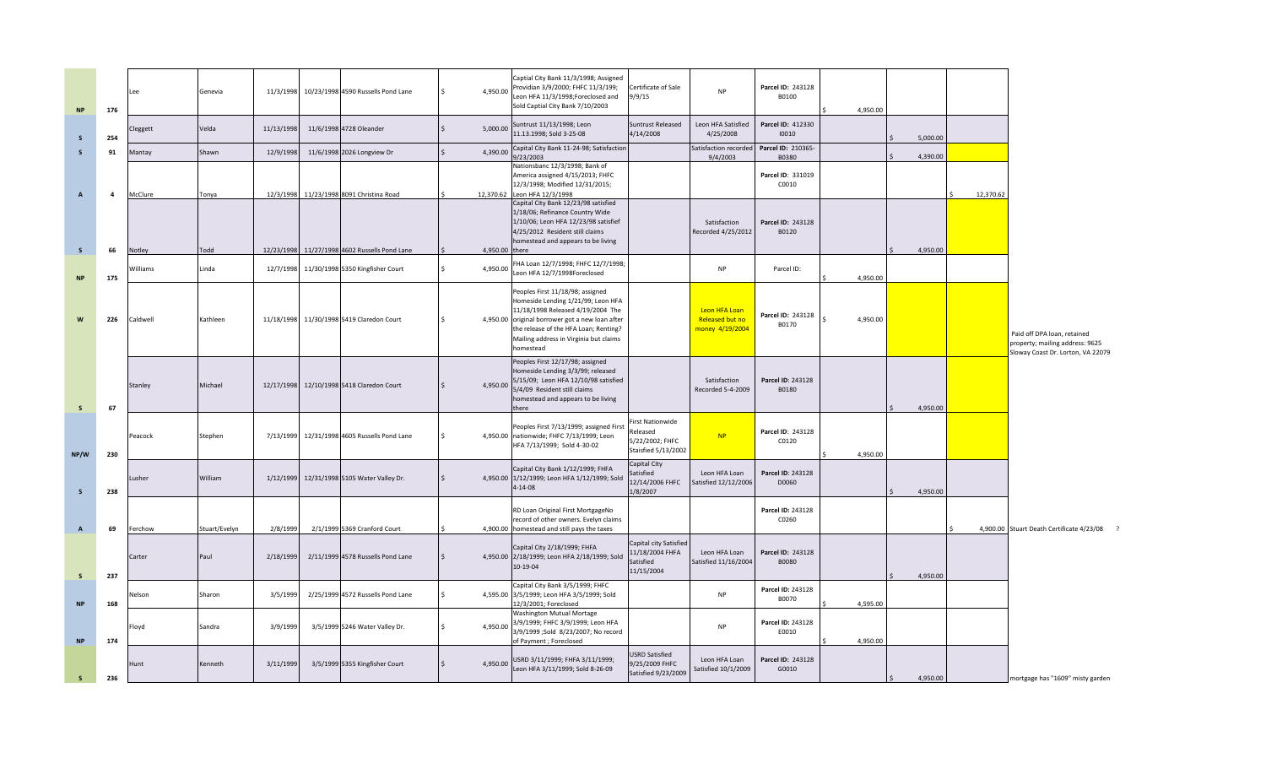| <b>NP</b>      | 176            | Lee      | Genevia       |            | 11/3/1998 10/23/1998 4590 Russells Pond Lane | 4,950.00<br>Ś. | Captial City Bank 11/3/1998; Assigned<br>Providian 3/9/2000; FHFC 11/3/199;<br>Leon HFA 11/3/1998;Foreclosed and<br>Sold Captial City Bank 7/10/2003                                                                                                           | Certificate of Sale<br>9/9/15                                                | <b>NP</b>                                           | Parcel ID: 243128<br>B0100        | 4,950.00 |                     |           |                                                                                                     |
|----------------|----------------|----------|---------------|------------|----------------------------------------------|----------------|----------------------------------------------------------------------------------------------------------------------------------------------------------------------------------------------------------------------------------------------------------------|------------------------------------------------------------------------------|-----------------------------------------------------|-----------------------------------|----------|---------------------|-----------|-----------------------------------------------------------------------------------------------------|
| - S            | 254            | Cleggett | Velda         | 11/13/1998 | 11/6/1998 4728 Oleander                      | 5,000.00       | Suntrust 11/13/1998; Leon<br>11.13.1998; Sold 3-25-08                                                                                                                                                                                                          | Suntrust Released<br>4/14/2008                                               | Leon HFA Satisfied<br>4/25/2008                     | Parcel ID: 412330<br>10010        |          | 5,000.00            |           |                                                                                                     |
| $\mathsf{s}$   | 91             | Mantay   | Shawn         | 12/9/1998  | 11/6/1998 2026 Longview Dr                   | 4,390.00       | Capital City Bank 11-24-98; Satisfaction<br>9/23/2003                                                                                                                                                                                                          |                                                                              | Satisfaction recorde<br>9/4/2003                    | Parcel ID: 210365-<br>B0380       |          | 4,390.00            |           |                                                                                                     |
| $\overline{A}$ | $\overline{a}$ | McClure  | Tonya         | 12/3/1998  | 11/23/1998 8091 Christina Road               | 12,370.62      | Nationsbanc 12/3/1998; Bank of<br>America assigned 4/15/2013; FHFC<br>12/3/1998; Modified 12/31/2015;<br>Leon HFA 12/3/1998                                                                                                                                    |                                                                              |                                                     | Parcel ID: 331019<br>C0010        |          |                     | 12,370.62 |                                                                                                     |
| S              | 66             | Notley   | Todd          | 12/23/1998 | 11/27/1998 4602 Russells Pond Lane           | 4,950.00 there | Capital City Bank 12/23/98 satisfied<br>1/18/06; Refinance Country Wide<br>1/10/06; Leon HFA 12/23/98 satisfief<br>4/25/2012 Resident still claims<br>homestead and appears to be living                                                                       |                                                                              | Satisfaction<br>Recorded 4/25/2012                  | Parcel ID: 243128<br>B0120        |          | 4,950.00            |           |                                                                                                     |
| <b>NP</b>      | 175            | Williams | Linda         | 12/7/1998  | 11/30/1998 5350 Kingfisher Court             | 4,950.00       | FHA Loan 12/7/1998; FHFC 12/7/1998;<br>Leon HFA 12/7/1998Foreclosed                                                                                                                                                                                            |                                                                              | <b>NP</b>                                           | Parcel ID:                        | 4,950.00 |                     |           |                                                                                                     |
| W              | 226            | Caldwell | Kathleen      |            | 11/18/1998 11/30/1998 5419 Claredon Court    |                | Peoples First 11/18/98; assigned<br>Homeside Lending 1/21/99; Leon HFA<br>11/18/1998 Released 4/19/2004 The<br>4,950.00 original borrower got a new loan after<br>the release of the HFA Loan; Renting?<br>Mailing address in Virginia but claims<br>homestead |                                                                              | Leon HFA Loan<br>Released but no<br>money 4/19/2004 | Parcel ID: 243128<br>B0170        | 4,950.00 |                     |           | Paid off DPA loan, retained<br>property; mailing address: 9625<br>Sloway Coast Dr. Lorton, VA 22079 |
| <b>S</b>       | 67             | Stanley  | Michael       | 12/17/1998 | 12/10/1998 5418 Claredon Court               | 4,950.00       | Peoples First 12/17/98; assigned<br>lomeside Lending 3/3/99; released<br>5/15/09; Leon HFA 12/10/98 satisfied<br>5/4/09 Resident still claims<br>homestead and appears to be living<br>there                                                                   |                                                                              | Satisfaction<br>Recorded 5-4-2009                   | Parcel ID: 243128<br>B0180        |          | 4,950.00            |           |                                                                                                     |
| NP/W           | 230            | Peacock  | Stephen       |            | 7/13/1999 12/31/1998 4605 Russells Pond Lane |                | Peoples First 7/13/1999; assigned First<br>4,950.00 nationwide; FHFC 7/13/1999; Leon<br>HFA 7/13/1999; Sold 4-30-02                                                                                                                                            | irst Nationwide<br>Released<br>5/22/2002; FHFC<br><b>Staisfied 5/13/2002</b> | NP                                                  | Parcel ID: 243128<br>C0120        | 4,950.00 |                     |           |                                                                                                     |
| -S             | 238            | Lusher   | William       | 1/12/1999  | 12/31/1998 5105 Water Valley Dr.             |                | Capital City Bank 1/12/1999; FHFA<br>4,950.00 1/12/1999; Leon HFA 1/12/1999; Sold<br>$4 - 14 - 08$                                                                                                                                                             | Capital City<br>atisfied<br>12/14/2006 FHFC<br>1/8/2007                      | Leon HFA Loan<br>Satisfied 12/12/2006               | Parcel ID: 243128<br>D0060        |          | 4,950.00            |           |                                                                                                     |
| $\overline{A}$ | 69             | Ferchow  | Stuart/Evelyn | 2/8/1999   | 2/1/1999 5369 Cranford Court                 |                | RD Loan Original First MortgageNo<br>record of other owners. Evelyn claims<br>4,900.00 homestead and still pays the taxes                                                                                                                                      |                                                                              |                                                     | Parcel ID: 243128<br>C0260        |          |                     |           | 4,900.00 Stuart Death Certificate 4/23/08                                                           |
| S              | 237            | Carter   | Paul          | 2/18/1999  | 2/11/1999 4578 Russells Pond Lane            |                | Capital City 2/18/1999; FHFA<br>4,950.00 2/18/1999; Leon HFA 2/18/1999; Sold<br>10-19-04                                                                                                                                                                       | Capital city Satisfied<br>11/18/2004 FHFA<br>Satisfied<br>11/15/2004         | Leon HFA Loan<br>Satisfied 11/16/2004               | Parcel ID: 243128<br><b>B0080</b> |          | 4,950.00            |           |                                                                                                     |
| <b>NP</b>      | 168            | Nelson   | Sharon        | 3/5/1999   | 2/25/1999 4572 Russells Pond Lane            |                | Capital City Bank 3/5/1999; FHFC<br>4,595.00 3/5/1999; Leon HFA 3/5/1999; Sold<br>12/3/2001; Foreclosed                                                                                                                                                        |                                                                              | <b>NP</b>                                           | Parcel ID: 243128<br>B0070        | 4,595.00 |                     |           |                                                                                                     |
| <b>NP</b>      | 174            | Floyd    | Sandra        | 3/9/1999   | 3/5/1999 5246 Water Valley Dr.               | 4,950.00       | Washington Mutual Mortage<br>3/9/1999; FHFC 3/9/1999; Leon HFA<br>3/9/1999 ;Sold 8/23/2007; No record<br>of Payment ; Foreclosed                                                                                                                               |                                                                              | <b>NP</b>                                           | Parcel ID: 243128<br>E0010        | 4,950.00 |                     |           |                                                                                                     |
| $\mathsf{s}$   | 236            | Hunt     | Kenneth       | 3/11/1999  | 3/5/1999 5355 Kingfisher Court               | 4,950.00       | USRD 3/11/1999; FHFA 3/11/1999;<br>Leon HFA 3/11/1999; Sold 8-26-09                                                                                                                                                                                            | <b>USRD Satisfied</b><br>9/25/2009 FHFC<br>Satisfied 9/23/2009               | Leon HFA Loan<br>Satisfied 10/1/2009                | Parcel ID: 243128<br>G0010        |          | 4,950.00<br>$\zeta$ |           | mortgage has "1609" misty garden                                                                    |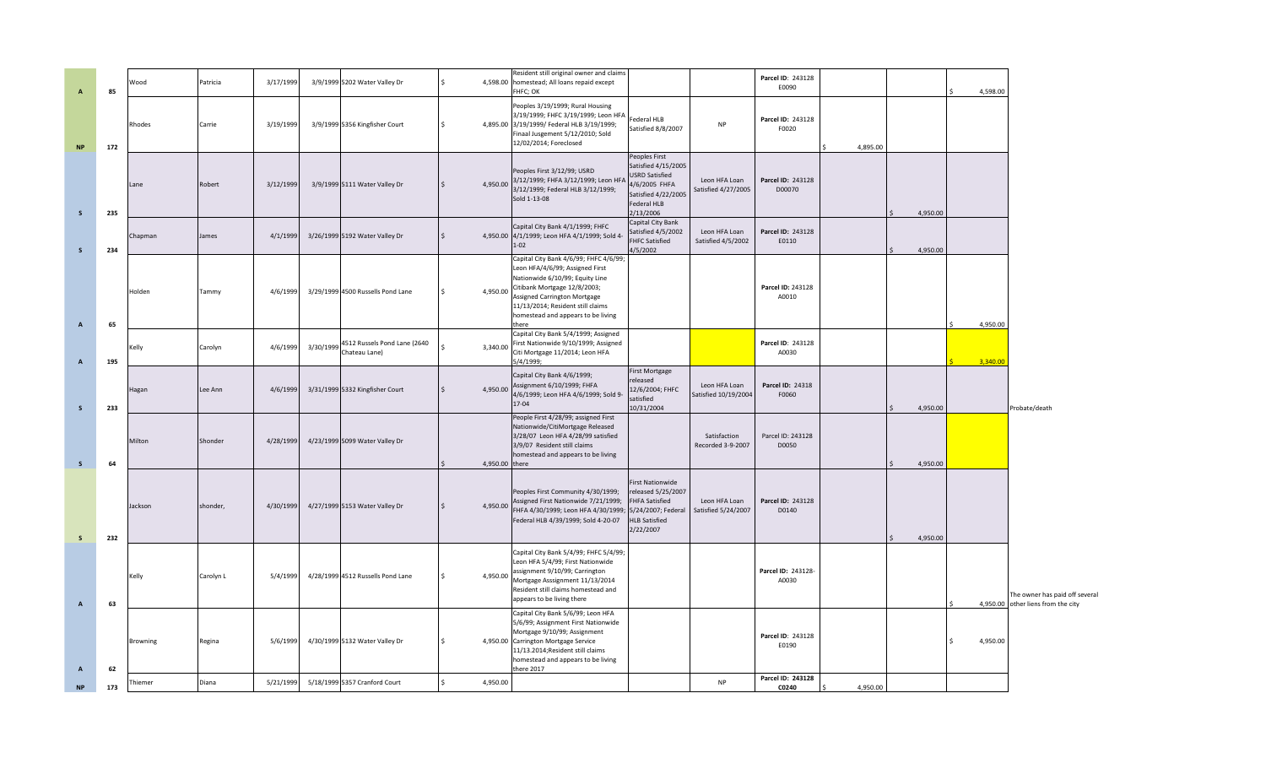| $\overline{A}$ | 85  | Nood     | Patricia  | 3/17/1999 | 3/9/1999 5202 Water Valley Dr                           |                | Resident still original owner and claims<br>4,598.00 homestead; All loans repaid except<br>FHFC; OK                                                                                                                                                              |                                                                                                                                   |                                       | Parcel ID: 243128<br>E0090  |          |          | 4,598.00 |                                                                      |
|----------------|-----|----------|-----------|-----------|---------------------------------------------------------|----------------|------------------------------------------------------------------------------------------------------------------------------------------------------------------------------------------------------------------------------------------------------------------|-----------------------------------------------------------------------------------------------------------------------------------|---------------------------------------|-----------------------------|----------|----------|----------|----------------------------------------------------------------------|
| <b>NP</b>      | 172 | Rhodes   | Carrie    | 3/19/1999 | 3/9/1999 5356 Kingfisher Court                          | 4,895.00       | Peoples 3/19/1999; Rural Housing<br>3/19/1999; FHFC 3/19/1999; Leon HFA<br>3/19/1999/ Federal HLB 3/19/1999;<br>Finaal Jusgement 5/12/2010; Sold<br>12/02/2014; Foreclosed                                                                                       | Federal HLB<br>Satisfied 8/8/2007                                                                                                 | <b>NP</b>                             | Parcel ID: 243128<br>F0020  | 4,895.00 |          |          |                                                                      |
| $\mathsf{s}$   | 235 | Lane     | Robert    | 3/12/1999 | 3/9/1999 5111 Water Valley Dr                           | 4,950.00       | Peoples First 3/12/99; USRD<br>3/12/1999; FHFA 3/12/1999; Leon HFA<br>3/12/1999; Federal HLB 3/12/1999;<br>Sold 1-13-08                                                                                                                                          | Peoples First<br>Satisfied 4/15/2005<br>USRD Satisfied<br>4/6/2005 FHFA<br>Satisfied 4/22/2005<br>Federal HLB<br>2/13/2006        | Leon HFA Loan<br>Satisfied 4/27/2005  | Parcel ID: 243128<br>D00070 |          | 4,950.00 |          |                                                                      |
| <sub>S</sub>   | 234 | Chapman  | James     | 4/1/1999  | 3/26/1999 5192 Water Valley Dr                          |                | Capital City Bank 4/1/1999; FHFC<br>4,950.00 4/1/1999; Leon HFA 4/1/1999; Sold 4-<br>$1 - 02$                                                                                                                                                                    | Capital City Bank<br>Satisfied 4/5/2002<br>FHFC Satisfied<br>4/5/2002                                                             | Leon HFA Loan<br>Satisfied 4/5/2002   | Parcel ID: 243128<br>E0110  |          | 4,950.00 |          |                                                                      |
| $\overline{A}$ | 65  | Holden   | Tammy     | 4/6/1999  | 3/29/1999 4500 Russells Pond Lane                       | 4,950.00       | Capital City Bank 4/6/99; FHFC 4/6/99;<br>Leon HFA/4/6/99; Assigned First<br>Nationwide 6/10/99; Equity Line<br>Citibank Mortgage 12/8/2003;<br>Assigned Carrington Mortgage<br>11/13/2014; Resident still claims<br>homestead and appears to be living<br>there |                                                                                                                                   |                                       | Parcel ID: 243128<br>A0010  |          |          | 4,950.00 |                                                                      |
| $\, {\bf A}$   | 195 | Kelly    | Carolyn   | 4/6/1999  | 3/30/1999 4512 Russels Pond Lane (2640<br>Chateau Lane) | 3,340.00       | Capital City Bank 5/4/1999; Assigned<br>First Nationwide 9/10/1999; Assigned<br>Citi Mortgage 11/2014; Leon HFA<br>5/4/1999;                                                                                                                                     |                                                                                                                                   |                                       | Parcel ID: 243128<br>A0030  |          |          | 3,340.00 |                                                                      |
| $\mathsf{s}$   | 233 | Hagan    | Lee Ann   | 4/6/1999  | 3/31/1999 5332 Kingfisher Court                         | 4,950.00       | Capital City Bank 4/6/1999;<br>Assignment 6/10/1999; FHFA<br>4/6/1999; Leon HFA 4/6/1999; Sold 9-<br>17-04                                                                                                                                                       | First Mortgage<br>released<br>12/6/2004; FHFC<br>satisfied<br>10/31/2004                                                          | Leon HFA Loan<br>Satisfied 10/19/2004 | Parcel ID: 24318<br>F0060   |          | 4,950.00 |          | Probate/death                                                        |
| $\mathsf S$    | 64  | Milton   | Shonder   | 4/28/1999 | 4/23/1999 5099 Water Valley Dr                          | 4,950.00 there | People First 4/28/99; assigned First<br>Nationwide/CitiMortgage Released<br>3/28/07 Leon HFA 4/28/99 satisfied<br>3/9/07 Resident still claims<br>homestead and appears to be living                                                                             |                                                                                                                                   | Satisfaction<br>Recorded 3-9-2007     | Parcel ID: 243128<br>D0050  |          | 4,950.00 |          |                                                                      |
| <b>S</b>       | 232 | Jackson  | shonder,  | 4/30/1999 | 4/27/1999 5153 Water Valley Dr                          | 4,950.00       | Peoples First Community 4/30/1999;<br>Assigned First Nationwide 7/21/1999;<br>FHFA 4/30/1999; Leon HFA 4/30/1999;<br>Federal HLB 4/39/1999; Sold 4-20-07                                                                                                         | <b>First Nationwide</b><br>released 5/25/2007<br><b>FHFA Satisfied</b><br>5/24/2007; Federal<br><b>HLB Satisfied</b><br>2/22/2007 | Leon HFA Loan<br>Satisfied 5/24/2007  | Parcel ID: 243128<br>D0140  |          | 4,950.00 |          |                                                                      |
| $\overline{A}$ | 63  | Kelly    | Carolyn L | 5/4/1999  | 4/28/1999 4512 Russells Pond Lane                       | 4,950.00       | Capital City Bank 5/4/99; FHFC 5/4/99;<br>Leon HFA 5/4/99; First Nationwide<br>assignment 9/10/99; Carrington<br>Mortgage Asssignment 11/13/2014<br>Resident still claims homestead and<br>appears to be living there                                            |                                                                                                                                   |                                       | Parcel ID: 243128-<br>A0030 |          |          |          | The owner has paid off several<br>4,950.00 other liens from the city |
| $\overline{A}$ | 62  | Browning | Regina    | 5/6/1999  | 4/30/1999 5132 Water Valley Dr                          |                | Capital City Bank 5/6/99; Leon HFA<br>5/6/99; Assignment First Nationwide<br>Mortgage 9/10/99; Assignment<br>4,950.00 Carrington Mortgage Service<br>11/13.2014; Resident still claims<br>homestead and appears to be living<br>here 2017                        |                                                                                                                                   |                                       | Parcel ID: 243128<br>E0190  |          |          | 4,950.00 |                                                                      |
| <b>NP</b>      | 173 | Thiemer  | Diana     | 5/21/1999 | 5/18/1999 5357 Cranford Court                           | 4,950.00       |                                                                                                                                                                                                                                                                  |                                                                                                                                   | NP                                    | Parcel ID: 243128<br>C0240  | 4,950.00 |          |          |                                                                      |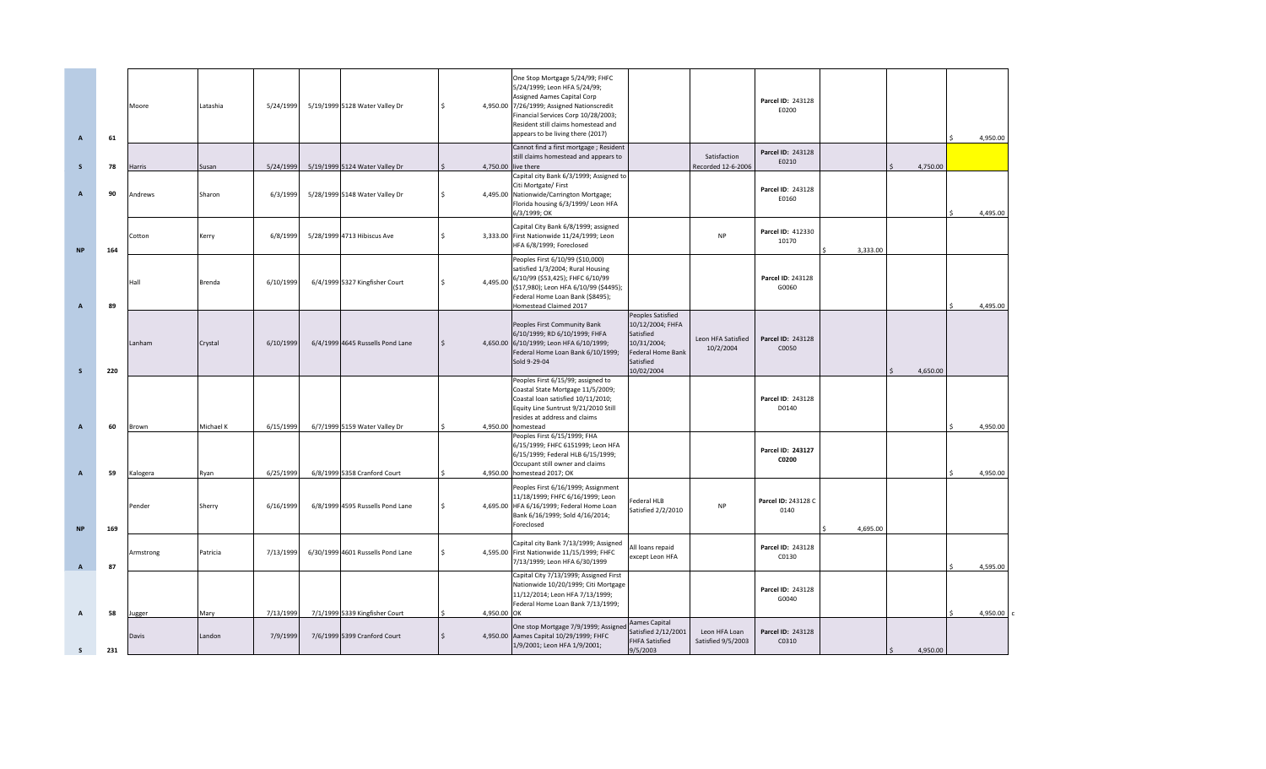| $\overline{A}$                 | 61        | Moore             | Latashia          | 5/24/1999              | 5/19/1999 5128 Water Valley Dr                                | l \$         | One Stop Mortgage 5/24/99; FHFC<br>5/24/1999; Leon HFA 5/24/99;<br>Assigned Aames Capital Corp<br>4,950.00 7/26/1999; Assigned Nationscredit<br>Financial Services Corp 10/28/2003;<br>Resident still claims homestead and<br>appears to be living there (2017) |                                                                                                                  |                                    | Parcel ID: 243128<br>E0200  |          |          | 4,950.00             |
|--------------------------------|-----------|-------------------|-------------------|------------------------|---------------------------------------------------------------|--------------|-----------------------------------------------------------------------------------------------------------------------------------------------------------------------------------------------------------------------------------------------------------------|------------------------------------------------------------------------------------------------------------------|------------------------------------|-----------------------------|----------|----------|----------------------|
| S.                             | 78        | Harris            | Susan             | 5/24/1999              | 5/19/1999 5124 Water Valley Dr                                |              | Cannot find a first mortgage; Resident<br>still claims homestead and appears to<br>4,750.00 live there                                                                                                                                                          |                                                                                                                  | Satisfaction<br>Recorded 12-6-2006 | Parcel ID: 243128<br>E0210  |          | 4,750.00 |                      |
| $\overline{A}$                 | 90        | Andrews           | Sharon            | 6/3/1999               | 5/28/1999 5148 Water Valley Dr                                | $\leq$       | Capital city Bank 6/3/1999; Assigned to<br>Citi Mortgate/First<br>4,495.00 Nationwide/Carrington Mortgage;<br>Florida housing 6/3/1999/ Leon HFA<br>6/3/1999; OK                                                                                                |                                                                                                                  |                                    | Parcel ID: 243128<br>E0160  |          |          | 4,495.00             |
| <b>NP</b>                      | 164       | Cotton            | Kerry             | 6/8/1999               | 5/28/1999 4713 Hibiscus Ave                                   |              | Capital City Bank 6/8/1999; assigned<br>3,333.00 First Nationwide 11/24/1999; Leon<br>HFA 6/8/1999; Foreclosed                                                                                                                                                  |                                                                                                                  | NP                                 | Parcel ID: 412330<br>10170  | 3,333.00 |          |                      |
| $\overline{A}$                 | 89        | Hall              | Brenda            | 6/10/1999              | 6/4/1999 5327 Kingfisher Court                                | 4,495.00     | Peoples First 6/10/99 (\$10,000)<br>satisfied 1/3/2004; Rural Housing<br>6/10/99 (\$53,425); FHFC 6/10/99<br>(\$17,980); Leon HFA 6/10/99 (\$4495);<br>Federal Home Loan Bank (\$8495);<br>Homestead Claimed 2017                                               |                                                                                                                  |                                    | Parcel ID: 243128<br>G0060  |          |          | 4,495.00             |
| S.                             | 220       | Lanham            | Crystal           | 6/10/1999              | 6/4/1999 4645 Russells Pond Lane                              |              | Peoples First Community Bank<br>6/10/1999; RD 6/10/1999; FHFA<br>4,650.00 6/10/1999; Leon HFA 6/10/1999;<br>Federal Home Loan Bank 6/10/1999;<br>Sold 9-29-04                                                                                                   | Peoples Satisfied<br>10/12/2004; FHFA<br>Satisfied<br>10/31/2004;<br>ederal Home Bank<br>Satisfied<br>10/02/2004 | Leon HFA Satisfied<br>10/2/2004    | Parcel ID: 243128<br>C0050  |          | 4.650.00 |                      |
|                                |           |                   |                   |                        |                                                               |              | Peoples First 6/15/99; assigned to<br>Coastal State Mortgage 11/5/2009;<br>Coastal loan satisfied 10/11/2010;<br>Equity Line Suntrust 9/21/2010 Still<br>resides at address and claims                                                                          |                                                                                                                  |                                    | Parcel ID: 243128<br>D0140  |          |          |                      |
| $\overline{A}$<br>$\mathbf{A}$ | 60<br>59  | Brown<br>Kalogera | Michael K<br>Ryan | 6/15/1999<br>6/25/1999 | 6/7/1999 5159 Water Valley Dr<br>6/8/1999 5358 Cranford Court |              | 4,950.00 homestead<br>Peoples First 6/15/1999; FHA<br>6/15/1999; FHFC 6151999; Leon HFA<br>6/15/1999; Federal HLB 6/15/1999;<br>Occupant still owner and claims<br>4,950.00 homestead 2017; OK                                                                  |                                                                                                                  |                                    | Parcel ID: 243127<br>C0200  |          |          | 4,950.00<br>4,950.00 |
|                                |           | Pender            | Sherry            | 6/16/1999              | 6/8/1999 4595 Russells Pond Lane                              |              | Peoples First 6/16/1999; Assignment<br>11/18/1999; FHFC 6/16/1999; Leon<br>4,695.00 HFA 6/16/1999; Federal Home Loan<br>Bank 6/16/1999; Sold 4/16/2014;<br>Foreclosed                                                                                           | ederal HLB<br>Satisfied 2/2/2010                                                                                 | <b>NP</b>                          | Parcel ID: 243128 C<br>0140 |          |          |                      |
| <b>NP</b><br>$\mathbf{A}$      | 169<br>87 | Armstrong         | Patricia          | 7/13/1999              | 6/30/1999 4601 Russells Pond Lane                             |              | Capital city Bank 7/13/1999; Assigned<br>4,595.00 First Nationwide 11/15/1999; FHFC<br>7/13/1999; Leon HFA 6/30/1999                                                                                                                                            | All loans repaid<br>except Leon HFA                                                                              |                                    | Parcel ID: 243128<br>C0130  | 4,695.00 |          | 4,595.00             |
|                                |           |                   |                   |                        |                                                               |              | Capital City 7/13/1999; Assigned First<br>Nationwide 10/20/1999; Citi Mortgage<br>11/12/2014; Leon HFA 7/13/1999;<br>Federal Home Loan Bank 7/13/1999;                                                                                                          |                                                                                                                  |                                    | Parcel ID: 243128<br>G0040  |          |          |                      |
| A                              | 58        | Jugger            | Mary              | 7/13/1999              | 7/1/1999 5339 Kingfisher Court                                | 4,950.00 OK  | One stop Mortgage 7/9/1999; Assigned                                                                                                                                                                                                                            | Aames Capital<br>Satisfied 2/12/2001                                                                             | Leon HFA Loan                      | Parcel ID: 243128           |          |          | 4,950.00 c           |
| s                              | 231       | Davis             | Landon            | 7/9/1999               | 7/6/1999 5399 Cranford Court                                  | $\mathsf{S}$ | 4,950.00 Aames Capital 10/29/1999; FHFC<br>1/9/2001; Leon HFA 1/9/2001;                                                                                                                                                                                         | FHFA Satisfied<br>9/5/2003                                                                                       | Satisfied 9/5/2003                 | C0310                       |          | 4,950.00 |                      |